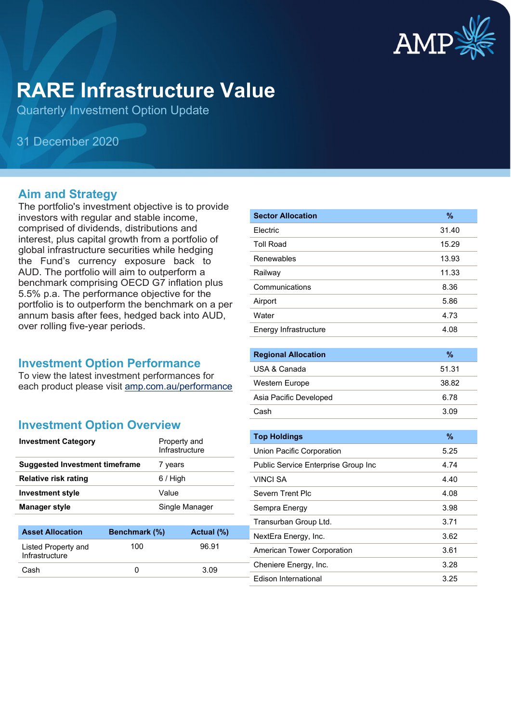

# **RARE Infrastructure Value**

Quarterly Investment Option Update

31 December 2020

#### **Aim and Strategy**

The portfolio's investment objective is to provide investors with regular and stable income, comprised of dividends, distributions and interest, plus capital growth from a portfolio of global infrastructure securities while hedging the Fund's currency exposure back to AUD. The portfolio will aim to outperform a benchmark comprising OECD G7 inflation plus 5.5% p.a. The performance objective for the portfolio is to outperform the benchmark on a per annum basis after fees, hedged back into AUD, over rolling five-year periods.

#### **Investment Option Performance**

To view the latest investment performances for each product please visit [amp.com.au/performance](https://www.amp.com.au/performance)

#### **Investment Option Overview**

| <b>Investment Category</b>            | Property and<br>Infrastructure |
|---------------------------------------|--------------------------------|
| <b>Suggested Investment timeframe</b> | 7 years                        |
| <b>Relative risk rating</b>           | $6/$ High                      |
| <b>Investment style</b>               | Value                          |
| <b>Manager style</b>                  | Single Manager                 |

| <b>Asset Allocation</b>               | Benchmark (%) | Actual (%) |
|---------------------------------------|---------------|------------|
| Listed Property and<br>Infrastructure | 100           | 96.91      |
| Cash                                  |               | 3.09       |
|                                       |               |            |

| <b>Sector Allocation</b> | $\%$  |
|--------------------------|-------|
| <b>Flectric</b>          | 31.40 |
| <b>Toll Road</b>         | 15.29 |
| Renewables               | 13.93 |
| Railway                  | 11.33 |
| Communications           | 8.36  |
| Airport                  | 5.86  |
| Water                    | 4.73  |
| Energy Infrastructure    | 4.08  |

| <b>Regional Allocation</b> | $\%$  |
|----------------------------|-------|
| USA & Canada               | 51.31 |
| Western Europe             | 38.82 |
| Asia Pacific Developed     | 6.78  |
| Cash                       | 3.09  |
|                            |       |

| <b>Top Holdings</b>                 | $\%$ |
|-------------------------------------|------|
| Union Pacific Corporation           | 5.25 |
| Public Service Enterprise Group Inc | 4.74 |
| <b>VINCI SA</b>                     | 4.40 |
| Severn Trent Plc                    | 4.08 |
| Sempra Energy                       | 3.98 |
| Transurban Group Ltd.               | 3.71 |
| NextEra Energy, Inc.                | 3.62 |
| <b>American Tower Corporation</b>   | 3.61 |
| Cheniere Energy, Inc.               | 3.28 |
| <b>Edison International</b>         | 3.25 |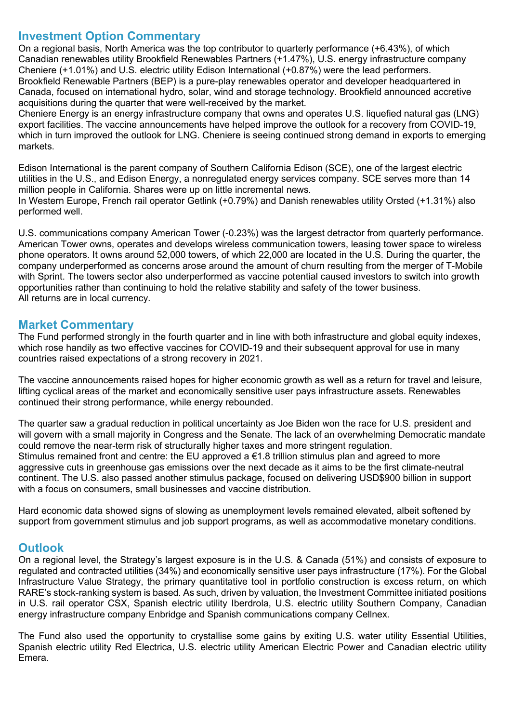### **Investment Option Commentary**

On a regional basis, North America was the top contributor to quarterly performance (+6.43%), of which Canadian renewables utility Brookfield Renewables Partners (+1.47%), U.S. energy infrastructure company Cheniere (+1.01%) and U.S. electric utility Edison International (+0.87%) were the lead performers. Brookfield Renewable Partners (BEP) is a pure-play renewables operator and developer headquartered in Canada, focused on international hydro, solar, wind and storage technology. Brookfield announced accretive acquisitions during the quarter that were well-received by the market.

Cheniere Energy is an energy infrastructure company that owns and operates U.S. liquefied natural gas (LNG) export facilities. The vaccine announcements have helped improve the outlook for a recovery from COVID-19, which in turn improved the outlook for LNG. Cheniere is seeing continued strong demand in exports to emerging markets.

Edison International is the parent company of Southern California Edison (SCE), one of the largest electric utilities in the U.S., and Edison Energy, a nonregulated energy services company. SCE serves more than 14 million people in California. Shares were up on little incremental news.

In Western Europe, French rail operator Getlink (+0.79%) and Danish renewables utility Orsted (+1.31%) also performed well.

U.S. communications company American Tower (-0.23%) was the largest detractor from quarterly performance. American Tower owns, operates and develops wireless communication towers, leasing tower space to wireless phone operators. It owns around 52,000 towers, of which 22,000 are located in the U.S. During the quarter, the company underperformed as concerns arose around the amount of churn resulting from the merger of T-Mobile with Sprint. The towers sector also underperformed as vaccine potential caused investors to switch into growth opportunities rather than continuing to hold the relative stability and safety of the tower business. All returns are in local currency.

### **Market Commentary**

The Fund performed strongly in the fourth quarter and in line with both infrastructure and global equity indexes, which rose handily as two effective vaccines for COVID-19 and their subsequent approval for use in many countries raised expectations of a strong recovery in 2021.

The vaccine announcements raised hopes for higher economic growth as well as a return for travel and leisure, lifting cyclical areas of the market and economically sensitive user pays infrastructure assets. Renewables continued their strong performance, while energy rebounded.

The quarter saw a gradual reduction in political uncertainty as Joe Biden won the race for U.S. president and will govern with a small majority in Congress and the Senate. The lack of an overwhelming Democratic mandate could remove the near-term risk of structurally higher taxes and more stringent regulation. Stimulus remained front and centre: the EU approved a  $\epsilon$ 1.8 trillion stimulus plan and agreed to more aggressive cuts in greenhouse gas emissions over the next decade as it aims to be the first climate-neutral continent. The U.S. also passed another stimulus package, focused on delivering USD\$900 billion in support with a focus on consumers, small businesses and vaccine distribution.

Hard economic data showed signs of slowing as unemployment levels remained elevated, albeit softened by support from government stimulus and job support programs, as well as accommodative monetary conditions.

## **Outlook**

On a regional level, the Strategy's largest exposure is in the U.S. & Canada (51%) and consists of exposure to regulated and contracted utilities (34%) and economically sensitive user pays infrastructure (17%). For the Global Infrastructure Value Strategy, the primary quantitative tool in portfolio construction is excess return, on which RARE's stock-ranking system is based. As such, driven by valuation, the Investment Committee initiated positions in U.S. rail operator CSX, Spanish electric utility Iberdrola, U.S. electric utility Southern Company, Canadian energy infrastructure company Enbridge and Spanish communications company Cellnex.

The Fund also used the opportunity to crystallise some gains by exiting U.S. water utility Essential Utilities, Spanish electric utility Red Electrica, U.S. electric utility American Electric Power and Canadian electric utility Emera.